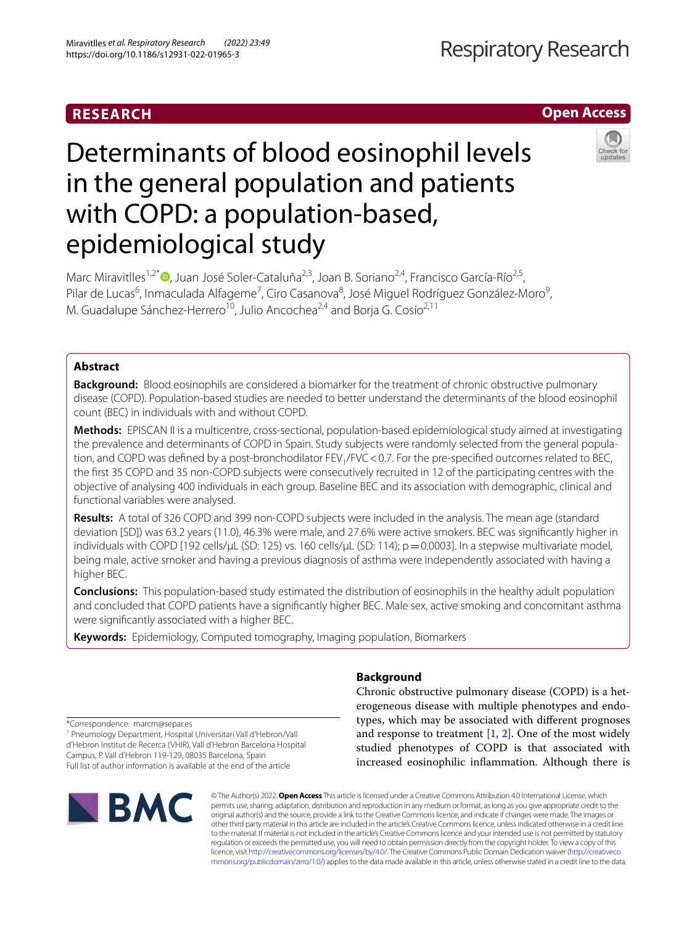# **RESEARCH**

# **Open Access**



# Determinants of blood eosinophil levels in the general population and patients with COPD: a population-based, epidemiological study

Marc Miravitlles<sup>1,2[\\*](http://orcid.org/0000-0002-9850-9520)</sup> , Juan José Soler-Cataluña<sup>2,3</sup>, Joan B. Soriano<sup>2,4</sup>, Francisco García-Río<sup>2,5</sup>, Pilar de Lucas<sup>6</sup>, Inmaculada Alfageme<sup>7</sup>, Ciro Casanova<sup>8</sup>, José Miguel Rodríguez González-Moro<sup>9</sup>, M. Guadalupe Sánchez-Herrero<sup>10</sup>, Julio Ancochea<sup>2,4</sup> and Borja G. Cosío<sup>2,11</sup>

# **Abstract**

**Background:** Blood eosinophils are considered a biomarker for the treatment of chronic obstructive pulmonary disease (COPD). Population-based studies are needed to better understand the determinants of the blood eosinophil count (BEC) in individuals with and without COPD.

**Methods:** EPISCAN II is a multicentre, cross-sectional, population-based epidemiological study aimed at investigating the prevalence and determinants of COPD in Spain. Study subjects were randomly selected from the general population, and COPD was defined by a post-bronchodilator FEV<sub>1</sub>/FVC < 0.7. For the pre-specified outcomes related to BEC, the frst 35 COPD and 35 non-COPD subjects were consecutively recruited in 12 of the participating centres with the objective of analysing 400 individuals in each group. Baseline BEC and its association with demographic, clinical and functional variables were analysed.

**Results:** A total of 326 COPD and 399 non-COPD subjects were included in the analysis. The mean age (standard deviation [SD]) was 63.2 years (11.0), 46.3% were male, and 27.6% were active smokers. BEC was signifcantly higher in individuals with COPD [192 cells/μL (SD: 125) vs. 160 cells/μL (SD: 114); p = 0.0003]. In a stepwise multivariate model, being male, active smoker and having a previous diagnosis of asthma were independently associated with having a higher BEC.

**Conclusions:** This population-based study estimated the distribution of eosinophils in the healthy adult population and concluded that COPD patients have a signifcantly higher BEC. Male sex, active smoking and concomitant asthma were signifcantly associated with a higher BEC.

**Keywords:** Epidemiology, Computed tomography, Imaging population, Biomarkers

# **Background**

Chronic obstructive pulmonary disease (COPD) is a heterogeneous disease with multiple phenotypes and endotypes, which may be associated with diferent prognoses and response to treatment  $[1, 2]$  $[1, 2]$  $[1, 2]$ . One of the most widely studied phenotypes of COPD is that associated with increased eosinophilic infammation. Although there is

\*Correspondence: marcm@separ.es

1 Pneumology Department, Hospital Universitari Vall d'Hebron/Vall d'Hebron Institut de Recerca (VHIR), Vall d'Hebron Barcelona Hospital Campus, P. Vall d'Hebron 119‑129, 08035 Barcelona, Spain Full list of author information is available at the end of the article



© The Author(s) 2022. **Open Access** This article is licensed under a Creative Commons Attribution 4.0 International License, which permits use, sharing, adaptation, distribution and reproduction in any medium or format, as long as you give appropriate credit to the original author(s) and the source, provide a link to the Creative Commons licence, and indicate if changes were made. The images or other third party material in this article are included in the article's Creative Commons licence, unless indicated otherwise in a credit line to the material. If material is not included in the article's Creative Commons licence and your intended use is not permitted by statutory regulation or exceeds the permitted use, you will need to obtain permission directly from the copyright holder. To view a copy of this licence, visit [http://creativecommons.org/licenses/by/4.0/.](http://creativecommons.org/licenses/by/4.0/) The Creative Commons Public Domain Dedication waiver ([http://creativeco](http://creativecommons.org/publicdomain/zero/1.0/) [mmons.org/publicdomain/zero/1.0/](http://creativecommons.org/publicdomain/zero/1.0/)) applies to the data made available in this article, unless otherwise stated in a credit line to the data.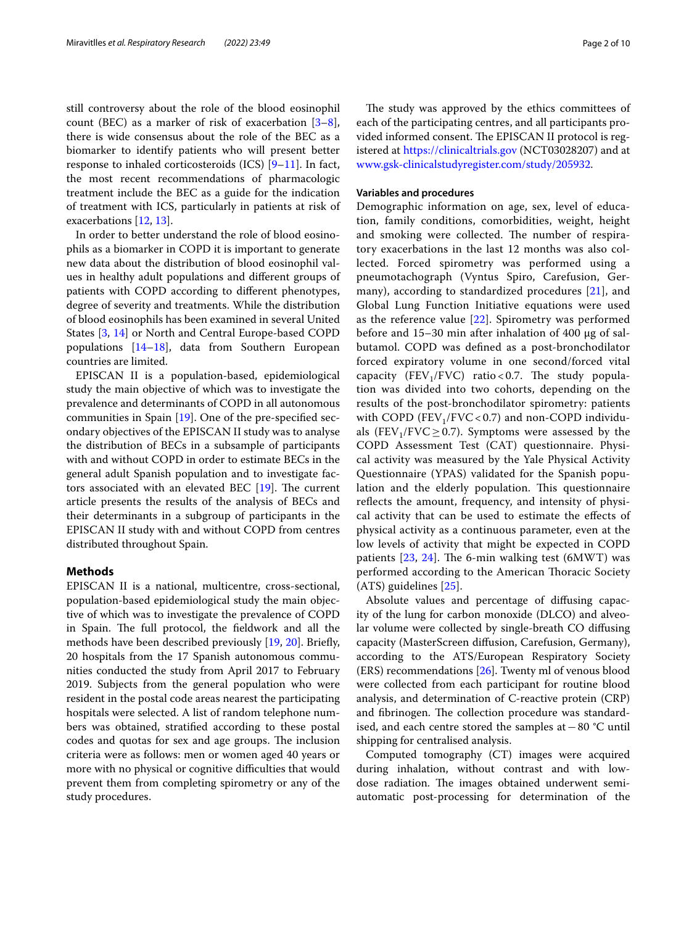still controversy about the role of the blood eosinophil count (BEC) as a marker of risk of exacerbation  $[3-8]$  $[3-8]$ , there is wide consensus about the role of the BEC as a biomarker to identify patients who will present better response to inhaled corticosteroids  $(ICS)$   $[9-11]$  $[9-11]$  $[9-11]$ . In fact, the most recent recommendations of pharmacologic treatment include the BEC as a guide for the indication of treatment with ICS, particularly in patients at risk of exacerbations [\[12](#page-8-6), [13](#page-8-7)].

In order to better understand the role of blood eosinophils as a biomarker in COPD it is important to generate new data about the distribution of blood eosinophil values in healthy adult populations and diferent groups of patients with COPD according to diferent phenotypes, degree of severity and treatments. While the distribution of blood eosinophils has been examined in several United States [[3,](#page-8-2) [14\]](#page-8-8) or North and Central Europe-based COPD populations [[14](#page-8-8)[–18](#page-9-0)], data from Southern European countries are limited.

EPISCAN II is a population-based, epidemiological study the main objective of which was to investigate the prevalence and determinants of COPD in all autonomous communities in Spain [[19\]](#page-9-1). One of the pre-specifed secondary objectives of the EPISCAN II study was to analyse the distribution of BECs in a subsample of participants with and without COPD in order to estimate BECs in the general adult Spanish population and to investigate factors associated with an elevated BEC  $[19]$  $[19]$  $[19]$ . The current article presents the results of the analysis of BECs and their determinants in a subgroup of participants in the EPISCAN II study with and without COPD from centres distributed throughout Spain.

#### **Methods**

EPISCAN II is a national, multicentre, cross-sectional, population-based epidemiological study the main objective of which was to investigate the prevalence of COPD in Spain. The full protocol, the fieldwork and all the methods have been described previously [\[19](#page-9-1), [20](#page-9-2)]. Briefy, 20 hospitals from the 17 Spanish autonomous communities conducted the study from April 2017 to February 2019. Subjects from the general population who were resident in the postal code areas nearest the participating hospitals were selected. A list of random telephone numbers was obtained, stratifed according to these postal codes and quotas for sex and age groups. The inclusion criteria were as follows: men or women aged 40 years or more with no physical or cognitive difficulties that would prevent them from completing spirometry or any of the study procedures.

The study was approved by the ethics committees of each of the participating centres, and all participants provided informed consent. The EPISCAN II protocol is registered at <https://clinicaltrials.gov>(NCT03028207) and at [www.gsk-clinicalstudyregister.com/study/205932.](http://www.gsk-clinicalstudyregister.com/study/205932)

## **Variables and procedures**

Demographic information on age, sex, level of education, family conditions, comorbidities, weight, height and smoking were collected. The number of respiratory exacerbations in the last 12 months was also collected. Forced spirometry was performed using a pneumotachograph (Vyntus Spiro, Carefusion, Germany), according to standardized procedures [[21](#page-9-3)], and Global Lung Function Initiative equations were used as the reference value [[22\]](#page-9-4). Spirometry was performed before and 15–30 min after inhalation of 400 μg of salbutamol. COPD was defned as a post-bronchodilator forced expiratory volume in one second/forced vital capacity (FEV<sub>1</sub>/FVC) ratio < 0.7. The study population was divided into two cohorts, depending on the results of the post-bronchodilator spirometry: patients with COPD (FEV<sub>1</sub>/FVC < 0.7) and non-COPD individuals (FEV<sub>1</sub>/FVC  $\geq$  0.7). Symptoms were assessed by the COPD Assessment Test (CAT) questionnaire. Physical activity was measured by the Yale Physical Activity Questionnaire (YPAS) validated for the Spanish population and the elderly population. This questionnaire reflects the amount, frequency, and intensity of physical activity that can be used to estimate the efects of physical activity as a continuous parameter, even at the low levels of activity that might be expected in COPD patients  $[23, 24]$  $[23, 24]$  $[23, 24]$  $[23, 24]$ . The 6-min walking test (6MWT) was performed according to the American Thoracic Society (ATS) guidelines [[25\]](#page-9-7).

Absolute values and percentage of difusing capacity of the lung for carbon monoxide (DLCO) and alveolar volume were collected by single-breath CO difusing capacity (MasterScreen difusion, Carefusion, Germany), according to the ATS/European Respiratory Society (ERS) recommendations [\[26\]](#page-9-8). Twenty ml of venous blood were collected from each participant for routine blood analysis, and determination of C-reactive protein (CRP) and fibrinogen. The collection procedure was standardised, and each centre stored the samples at−80 °C until shipping for centralised analysis.

Computed tomography (CT) images were acquired during inhalation, without contrast and with lowdose radiation. The images obtained underwent semiautomatic post-processing for determination of the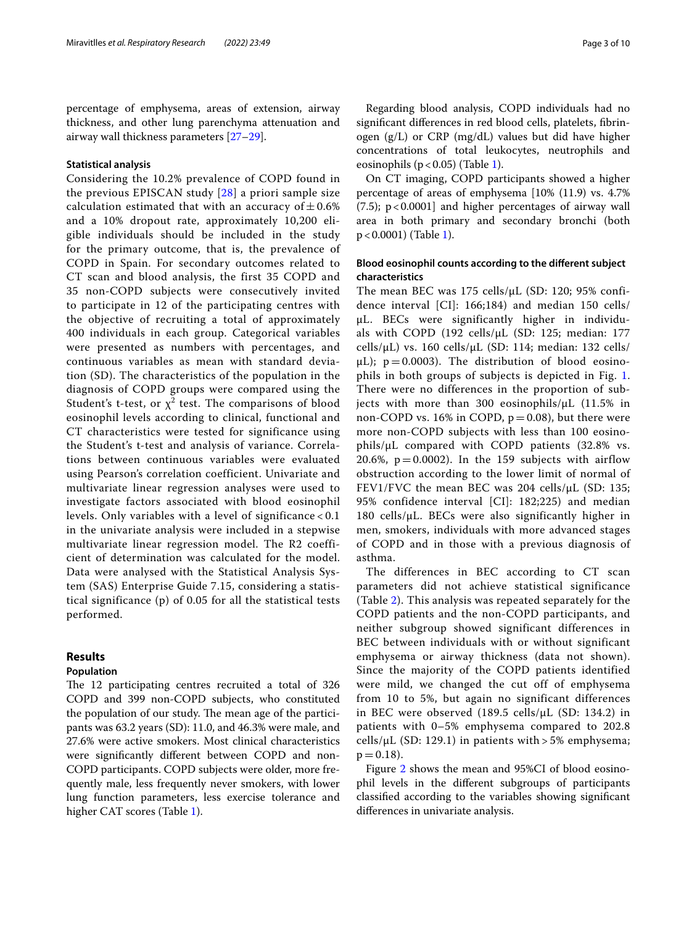percentage of emphysema, areas of extension, airway thickness, and other lung parenchyma attenuation and airway wall thickness parameters [[27–](#page-9-9)[29](#page-9-10)].

#### **Statistical analysis**

Considering the 10.2% prevalence of COPD found in the previous EPISCAN study [[28](#page-9-11)] a priori sample size calculation estimated that with an accuracy of  $\pm$  0.6% and a 10% dropout rate, approximately 10,200 eligible individuals should be included in the study for the primary outcome, that is, the prevalence of COPD in Spain. For secondary outcomes related to CT scan and blood analysis, the first 35 COPD and 35 non-COPD subjects were consecutively invited to participate in 12 of the participating centres with the objective of recruiting a total of approximately 400 individuals in each group. Categorical variables were presented as numbers with percentages, and continuous variables as mean with standard deviation (SD). The characteristics of the population in the diagnosis of COPD groups were compared using the Student's t-test, or  $\chi^2$  test. The comparisons of blood eosinophil levels according to clinical, functional and CT characteristics were tested for significance using the Student's t-test and analysis of variance. Correlations between continuous variables were evaluated using Pearson's correlation coefficient. Univariate and multivariate linear regression analyses were used to investigate factors associated with blood eosinophil levels. Only variables with a level of significance < 0.1 in the univariate analysis were included in a stepwise multivariate linear regression model. The R2 coefficient of determination was calculated for the model. Data were analysed with the Statistical Analysis System (SAS) Enterprise Guide 7.15, considering a statistical significance (p) of 0.05 for all the statistical tests performed.

## **Results**

## **Population**

The 12 participating centres recruited a total of 326 COPD and 399 non-COPD subjects, who constituted the population of our study. The mean age of the participants was 63.2 years (SD): 11.0, and 46.3% were male, and 27.6% were active smokers. Most clinical characteristics were signifcantly diferent between COPD and non-COPD participants. COPD subjects were older, more frequently male, less frequently never smokers, with lower lung function parameters, less exercise tolerance and higher CAT scores (Table [1\)](#page-3-0).

Regarding blood analysis, COPD individuals had no signifcant diferences in red blood cells, platelets, fbrinogen (g/L) or CRP (mg/dL) values but did have higher concentrations of total leukocytes, neutrophils and eosinophils ( $p < 0.05$ ) (Table [1](#page-3-0)).

On CT imaging, COPD participants showed a higher percentage of areas of emphysema [10% (11.9) vs. 4.7%  $(7.5)$ ;  $p < 0.0001$ ] and higher percentages of airway wall area in both primary and secondary bronchi (both p<0.0001) (Table [1\)](#page-3-0).

# **Blood eosinophil counts according to the diferent subject characteristics**

The mean BEC was 175 cells/μL (SD: 120; 95% confidence interval [CI]: 166;184) and median 150 cells/ μL. BECs were significantly higher in individuals with COPD (192 cells/μL (SD: 125; median: 177 cells/ $\mu$ L) vs. 160 cells/ $\mu$ L (SD: 114; median: 132 cells/  $\mu$ L); p = 0.0003). The distribution of blood eosinophils in both groups of subjects is depicted in Fig. [1](#page-4-0). There were no differences in the proportion of subjects with more than 300 eosinophils/μL (11.5% in non-COPD vs. 16% in COPD,  $p = 0.08$ ), but there were more non-COPD subjects with less than 100 eosinophils/μL compared with COPD patients (32.8% vs. 20.6%,  $p = 0.0002$ ). In the 159 subjects with airflow obstruction according to the lower limit of normal of FEV1/FVC the mean BEC was 204 cells/μL (SD: 135; 95% confidence interval [CI]: 182;225) and median 180 cells/μL. BECs were also significantly higher in men, smokers, individuals with more advanced stages of COPD and in those with a previous diagnosis of asthma.

The differences in BEC according to CT scan parameters did not achieve statistical significance (Table [2](#page-5-0)). This analysis was repeated separately for the COPD patients and the non-COPD participants, and neither subgroup showed significant differences in BEC between individuals with or without significant emphysema or airway thickness (data not shown). Since the majority of the COPD patients identified were mild, we changed the cut off of emphysema from 10 to 5%, but again no significant differences in BEC were observed (189.5 cells/μL (SD: 134.2) in patients with 0–5% emphysema compared to 202.8 cells/ $\mu$ L (SD: 129.1) in patients with > 5% emphysema;  $p = 0.18$ .

Figure [2](#page-6-0) shows the mean and 95%CI of blood eosinophil levels in the diferent subgroups of participants classifed according to the variables showing signifcant diferences in univariate analysis.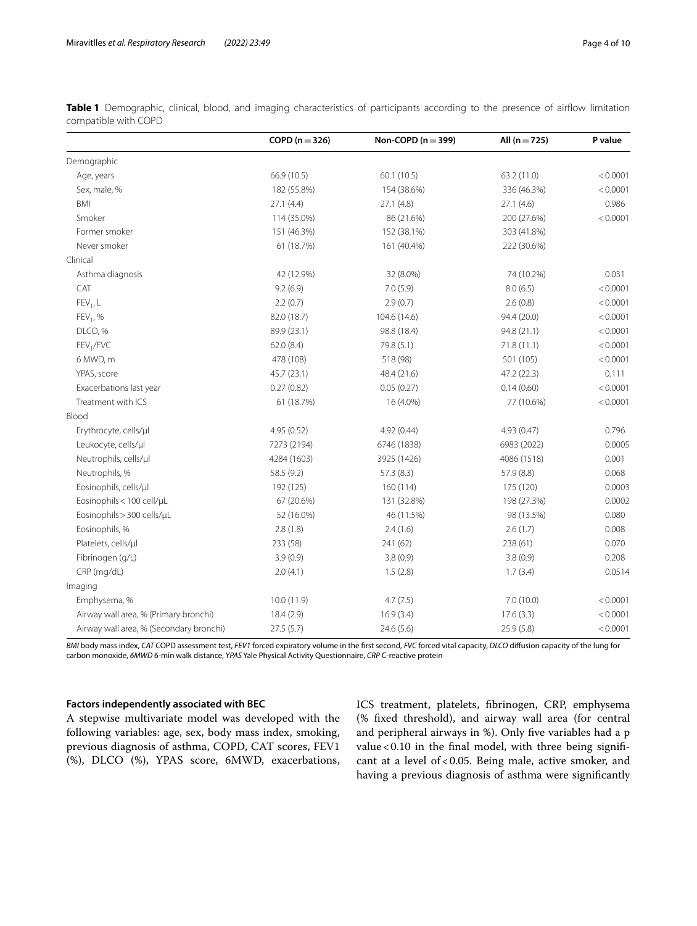|                                         | COPD ( $n = 326$ ) | Non-COPD ( $n = 399$ ) | All $(n = 725)$ | P value  |
|-----------------------------------------|--------------------|------------------------|-----------------|----------|
| Demographic                             |                    |                        |                 |          |
| Age, years                              | 66.9 (10.5)        | 60.1(10.5)             | 63.2 (11.0)     | < 0.0001 |
| Sex, male, %                            | 182 (55.8%)        | 154 (38.6%)            | 336 (46.3%)     | < 0.0001 |
| BMI                                     | 27.1(4.4)          | 27.1(4.8)              | 27.1(4.6)       | 0.986    |
| Smoker                                  | 114 (35.0%)        | 86 (21.6%)             | 200 (27.6%)     | < 0.0001 |
| Former smoker                           | 151 (46.3%)        | 152 (38.1%)            | 303 (41.8%)     |          |
| Never smoker                            | 61 (18.7%)         | 161 (40.4%)            | 222 (30.6%)     |          |
| Clinical                                |                    |                        |                 |          |
| Asthma diagnosis                        | 42 (12.9%)         | 32 (8.0%)              | 74 (10.2%)      | 0.031    |
| CAT                                     | 9.2(6.9)           | 7.0(5.9)               | 8.0(6.5)        | < 0.0001 |
| $FEV1$ , L                              | 2.2(0.7)           | 2.9(0.7)               | 2.6(0.8)        | < 0.0001 |
| $FEV1$ , %                              | 82.0 (18.7)        | 104.6 (14.6)           | 94.4 (20.0)     | < 0.0001 |
| DLCO, %                                 | 89.9 (23.1)        | 98.8 (18.4)            | 94.8 (21.1)     | < 0.0001 |
| FEV <sub>1</sub> /FVC                   | 62.0(8.4)          | 79.8 (5.1)             | 71.8(11.1)      | < 0.0001 |
| 6 MWD, m                                | 478 (108)          | 518 (98)               | 501 (105)       | < 0.0001 |
| YPAS, score                             | 45.7 (23.1)        | 48.4 (21.6)            | 47.2 (22.3)     | 0.111    |
| Exacerbations last year                 | 0.27(0.82)         | 0.05(0.27)             | 0.14(0.60)      | < 0.0001 |
| Treatment with ICS                      | 61 (18.7%)         | 16 (4.0%)              | 77 (10.6%)      | < 0.0001 |
| Blood                                   |                    |                        |                 |          |
| Erythrocyte, cells/µl                   | 4.95 (0.52)        | 4.92 (0.44)            | 4.93 (0.47)     | 0.796    |
| Leukocyte, cells/µl                     | 7273 (2194)        | 6746 (1838)            | 6983 (2022)     | 0.0005   |
| Neutrophils, cells/µl                   | 4284 (1603)        | 3925 (1426)            | 4086 (1518)     | 0.001    |
| Neutrophils, %                          | 58.5 (9.2)         | 57.3 (8.3)             | 57.9 (8.8)      | 0.068    |
| Eosinophils, cells/µl                   | 192 (125)          | 160 (114)              | 175 (120)       | 0.0003   |
| Eosinophils < 100 cell/µL               | 67 (20.6%)         | 131 (32.8%)            | 198 (27.3%)     | 0.0002   |
| Eosinophils > 300 cells/uL              | 52 (16.0%)         | 46 (11.5%)             | 98 (13.5%)      | 0.080    |
| Eosinophils, %                          | 2.8(1.8)           | 2.4(1.6)               | 2.6(1.7)        | 0.008    |
| Platelets, cells/µl                     | 233 (58)           | 241 (62)               | 238 (61)        | 0.070    |
| Fibrinogen (g/L)                        | 3.9(0.9)           | 3.8(0.9)               | 3.8(0.9)        | 0.208    |
| CRP (mg/dL)                             | 2.0(4.1)           | 1.5(2.8)               | 1.7(3.4)        | 0.0514   |
| Imaging                                 |                    |                        |                 |          |
| Emphysema, %                            | 10.0(11.9)         | 4.7(7.5)               | 7.0(10.0)       | < 0.0001 |
| Airway wall area, % (Primary bronchi)   | 18.4(2.9)          | 16.9(3.4)              | 17.6(3.3)       | < 0.0001 |
| Airway wall area, % (Secondary bronchi) | 27.5(5.7)          | 24.6(5.6)              | 25.9(5.8)       | < 0.0001 |

<span id="page-3-0"></span>**Table 1** Demographic, clinical, blood, and imaging characteristics of participants according to the presence of airfow limitation compatible with COPD

*BMI* body mass index, *CAT* COPD assessment test, *FEV1* forced expiratory volume in the frst second, *FVC* forced vital capacity, *DLCO* difusion capacity of the lung for carbon monoxide, *6MWD* 6-min walk distance, *YPAS* Yale Physical Activity Questionnaire, *CRP* C-reactive protein

# **Factors independently associated with BEC**

A stepwise multivariate model was developed with the following variables: age, sex, body mass index, smoking, previous diagnosis of asthma, COPD, CAT scores, FEV1 (%), DLCO (%), YPAS score, 6MWD, exacerbations, ICS treatment, platelets, fbrinogen, CRP, emphysema (% fxed threshold), and airway wall area (for central and peripheral airways in %). Only fve variables had a p value < 0.10 in the final model, with three being significant at a level of < 0.05. Being male, active smoker, and having a previous diagnosis of asthma were signifcantly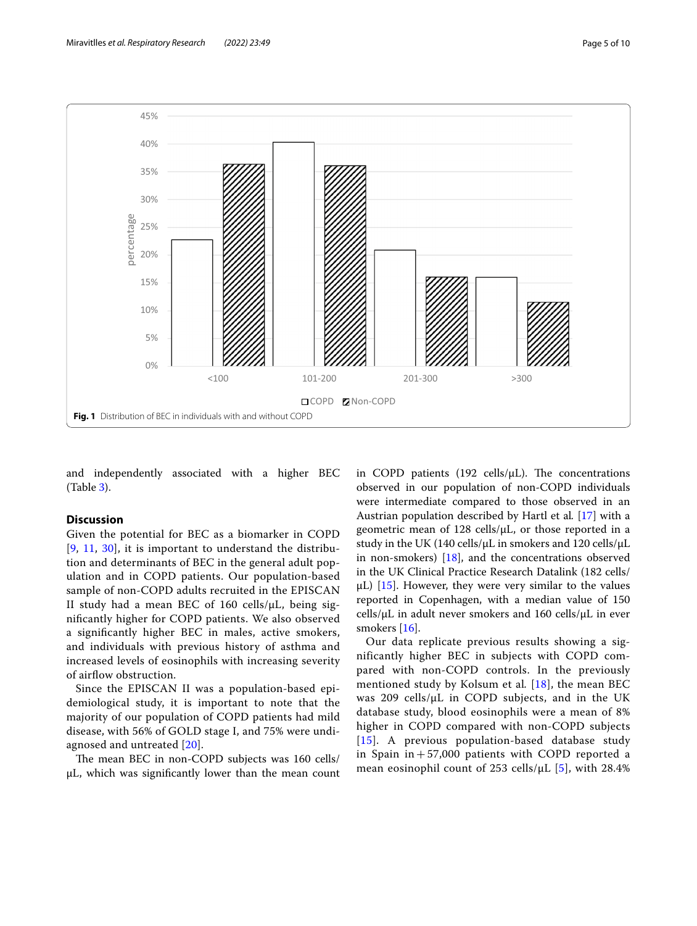

<span id="page-4-0"></span>and independently associated with a higher BEC (Table [3](#page-7-0)).

# **Discussion**

Given the potential for BEC as a biomarker in COPD  $[9, 11, 30]$  $[9, 11, 30]$  $[9, 11, 30]$  $[9, 11, 30]$  $[9, 11, 30]$  $[9, 11, 30]$  $[9, 11, 30]$ , it is important to understand the distribution and determinants of BEC in the general adult population and in COPD patients. Our population-based sample of non-COPD adults recruited in the EPISCAN II study had a mean BEC of 160 cells/μL, being signifcantly higher for COPD patients. We also observed a signifcantly higher BEC in males, active smokers, and individuals with previous history of asthma and increased levels of eosinophils with increasing severity of airflow obstruction.

Since the EPISCAN II was a population-based epidemiological study, it is important to note that the majority of our population of COPD patients had mild disease, with 56% of GOLD stage I, and 75% were undiagnosed and untreated [\[20\]](#page-9-2).

The mean BEC in non-COPD subjects was 160 cells/ μL, which was signifcantly lower than the mean count in COPD patients (192 cells/ $\mu$ L). The concentrations observed in our population of non-COPD individuals were intermediate compared to those observed in an Austrian population described by Hartl et al*.* [[17\]](#page-9-13) with a geometric mean of 128 cells/μL, or those reported in a study in the UK (140 cells/μL in smokers and 120 cells/μL in non-smokers) [\[18\]](#page-9-0), and the concentrations observed in the UK Clinical Practice Research Datalink (182 cells/  $\mu$ L) [[15](#page-9-14)]. However, they were very similar to the values reported in Copenhagen, with a median value of 150 cells/ $\mu$ L in adult never smokers and 160 cells/ $\mu$ L in ever smokers [\[16](#page-9-15)].

Our data replicate previous results showing a significantly higher BEC in subjects with COPD compared with non-COPD controls. In the previously mentioned study by Kolsum et al*.* [\[18](#page-9-0)], the mean BEC was 209 cells/μL in COPD subjects, and in the UK database study, blood eosinophils were a mean of 8% higher in COPD compared with non-COPD subjects [[15](#page-9-14)]. A previous population-based database study in Spain in  $+57,000$  patients with COPD reported a mean eosinophil count of 253 cells/μL [[5\]](#page-8-9), with 28.4%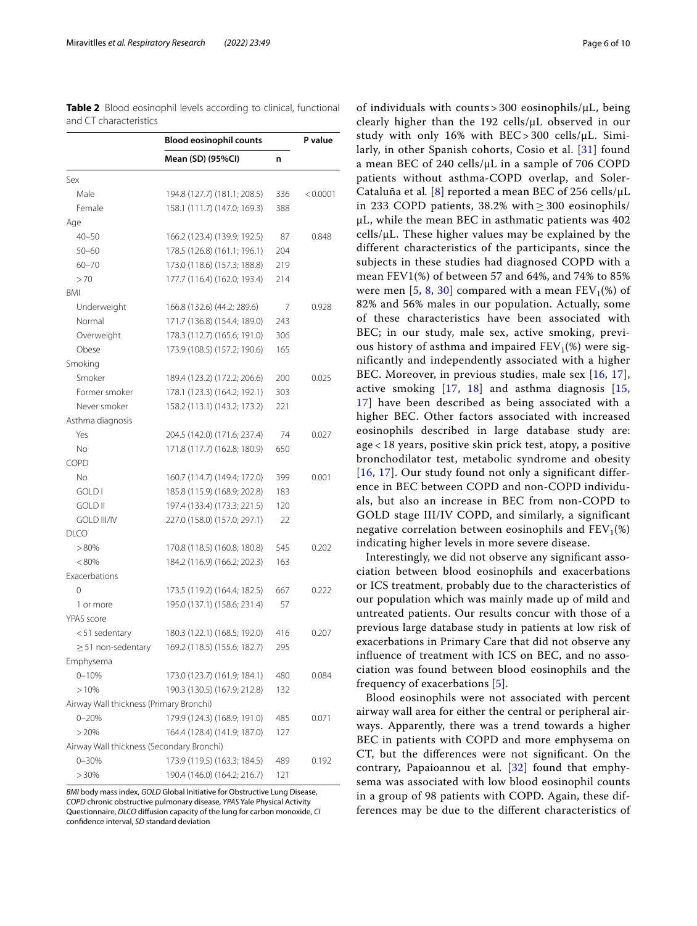<span id="page-5-0"></span>**Table 2** Blood eosinophil levels according to clinical, functional and CT characteristics

|                                           | <b>Blood eosinophil counts</b> |     | P value  |  |
|-------------------------------------------|--------------------------------|-----|----------|--|
|                                           | Mean (SD) (95%CI)              | n   |          |  |
| Sex                                       |                                |     |          |  |
| Male                                      | 194.8 (127.7) (181.1; 208.5)   | 336 | < 0.0001 |  |
| Female                                    | 158.1 (111.7) (147.0; 169.3)   | 388 |          |  |
| Age                                       |                                |     |          |  |
| $40 - 50$                                 | 166.2 (123.4) (139.9; 192.5)   | 87  | 0.848    |  |
| $50 - 60$                                 | 178.5 (126.8) (161.1; 196.1)   | 204 |          |  |
| $60 - 70$                                 | 173.0 (118.6) (157.3; 188.8)   | 219 |          |  |
| >70                                       | 177.7 (116.4) (162.0; 193.4)   | 214 |          |  |
| BMI                                       |                                |     |          |  |
| Underweight                               | 166.8 (132.6) (44.2; 289.6)    | 7   | 0.928    |  |
| Normal                                    | 171.7 (136.8) (154.4; 189.0)   | 243 |          |  |
| Overweight                                | 178.3 (112.7) (165.6; 191.0)   | 306 |          |  |
| Obese                                     | 173.9 (108.5) (157.2; 190.6)   | 165 |          |  |
| Smoking                                   |                                |     |          |  |
| Smoker                                    | 189.4 (123.2) (172.2; 206.6)   | 200 | 0.025    |  |
| Former smoker                             | 178.1 (123.3) (164.2; 192.1)   | 303 |          |  |
| Never smoker                              | 158.2 (113.1) (143.2; 173.2)   | 221 |          |  |
| Asthma diagnosis                          |                                |     |          |  |
| Yes                                       | 204.5 (142.0) (171.6; 237.4)   | 74  | 0.027    |  |
| No                                        | 171.8 (117.7) (162.8; 180.9)   | 650 |          |  |
| COPD                                      |                                |     |          |  |
| No                                        | 160.7 (114.7) (149.4; 172.0)   | 399 | 0.001    |  |
| <b>GOLD I</b>                             | 185.8 (115.9) (168.9; 202.8)   | 183 |          |  |
| <b>GOLD II</b>                            | 197.4 (133.4) (173.3; 221.5)   | 120 |          |  |
| <b>GOLD III/IV</b>                        | 227.0 (158.0) (157.0; 297.1)   | 22  |          |  |
| <b>DLCO</b>                               |                                |     |          |  |
| >80%                                      | 170.8 (118.5) (160.8; 180.8)   | 545 | 0.202    |  |
| $< 80\%$                                  | 184.2 (116.9) (166.2; 202.3)   | 163 |          |  |
| Exacerbations                             |                                |     |          |  |
| 0                                         | 173.5 (119.2) (164.4; 182.5)   | 667 | 0.222    |  |
| 1 or more                                 | 195.0 (137.1) (158.6; 231.4)   | 57  |          |  |
| YPAS score                                |                                |     |          |  |
| <51 sedentary                             | 180.3 (122.1) (168.5; 192.0)   | 416 | 0.207    |  |
| $\geq$ 51 non-sedentary                   | 169.2 (118.5) (155.6; 182.7)   | 295 |          |  |
| Emphysema                                 |                                |     |          |  |
| $0 - 10%$                                 | 173.0 (123.7) (161.9; 184.1)   | 480 | 0.084    |  |
| >10%                                      | 190.3 (130.5) (167.9; 212.8)   | 132 |          |  |
| Airway Wall thickness (Primary Bronchi)   |                                |     |          |  |
| $0 - 20%$                                 | 179.9 (124.3) (168.9; 191.0)   | 485 | 0.071    |  |
| >20%                                      | 164.4 (128.4) (141.9; 187.0)   | 127 |          |  |
| Airway Wall thickness (Secondary Bronchi) |                                |     |          |  |
| $0 - 30%$                                 | 173.9 (119.5) (163.3; 184.5)   | 489 | 0.192    |  |
| >30%                                      | 190.4 (146.0) (164.2; 216.7)   | 121 |          |  |
|                                           |                                |     |          |  |

*BMI* body mass index, *GOLD* Global Initiative for Obstructive Lung Disease, *COPD* chronic obstructive pulmonary disease, *YPAS* Yale Physical Activity Questionnaire, *DLCO* difusion capacity of the lung for carbon monoxide, *CI* confdence interval, *SD* standard deviation

of individuals with counts > 300 eosinophils/μL, being clearly higher than the 192 cells/μL observed in our study with only 16% with BEC> 300 cells/μL. Similarly, in other Spanish cohorts, Cosio et al. [[31](#page-9-16)] found a mean BEC of 240 cells/μL in a sample of 706 COPD patients without asthma-COPD overlap, and Soler-Cataluña et al*.* [[8\]](#page-8-3) reported a mean BEC of 256 cells/μL in 233 COPD patients,  $38.2\%$  with  $> 300$  eosinophils/ μL, while the mean BEC in asthmatic patients was 402  $cells/µL$ . These higher values may be explained by the different characteristics of the participants, since the subjects in these studies had diagnosed COPD with a mean FEV1(%) of between 57 and 64%, and 74% to 85% were men [[5](#page-8-9), [8,](#page-8-3) [30](#page-9-12)] compared with a mean  $FEV_1(\%)$  of 82% and 56% males in our population. Actually, some of these characteristics have been associated with BEC; in our study, male sex, active smoking, previous history of asthma and impaired  $FEV_1(\%)$  were significantly and independently associated with a higher BEC. Moreover, in previous studies, male sex [[16](#page-9-15), [17\]](#page-9-13), active smoking [[17](#page-9-13), [18\]](#page-9-0) and asthma diagnosis [[15](#page-9-14), [17\]](#page-9-13) have been described as being associated with a higher BEC. Other factors associated with increased eosinophils described in large database study are: age < 18 years, positive skin prick test, atopy, a positive bronchodilator test, metabolic syndrome and obesity [[16](#page-9-15), [17](#page-9-13)]. Our study found not only a significant difference in BEC between COPD and non-COPD individuals, but also an increase in BEC from non-COPD to GOLD stage III/IV COPD, and similarly, a significant negative correlation between eosinophils and  $FEV<sub>1</sub>(%)$ indicating higher levels in more severe disease.

Interestingly, we did not observe any signifcant association between blood eosinophils and exacerbations or ICS treatment, probably due to the characteristics of our population which was mainly made up of mild and untreated patients. Our results concur with those of a previous large database study in patients at low risk of exacerbations in Primary Care that did not observe any infuence of treatment with ICS on BEC, and no association was found between blood eosinophils and the frequency of exacerbations [[5\]](#page-8-9).

Blood eosinophils were not associated with percent airway wall area for either the central or peripheral airways. Apparently, there was a trend towards a higher BEC in patients with COPD and more emphysema on CT, but the diferences were not signifcant. On the contrary, Papaioannou et al*.* [\[32\]](#page-9-17) found that emphysema was associated with low blood eosinophil counts in a group of 98 patients with COPD. Again, these differences may be due to the diferent characteristics of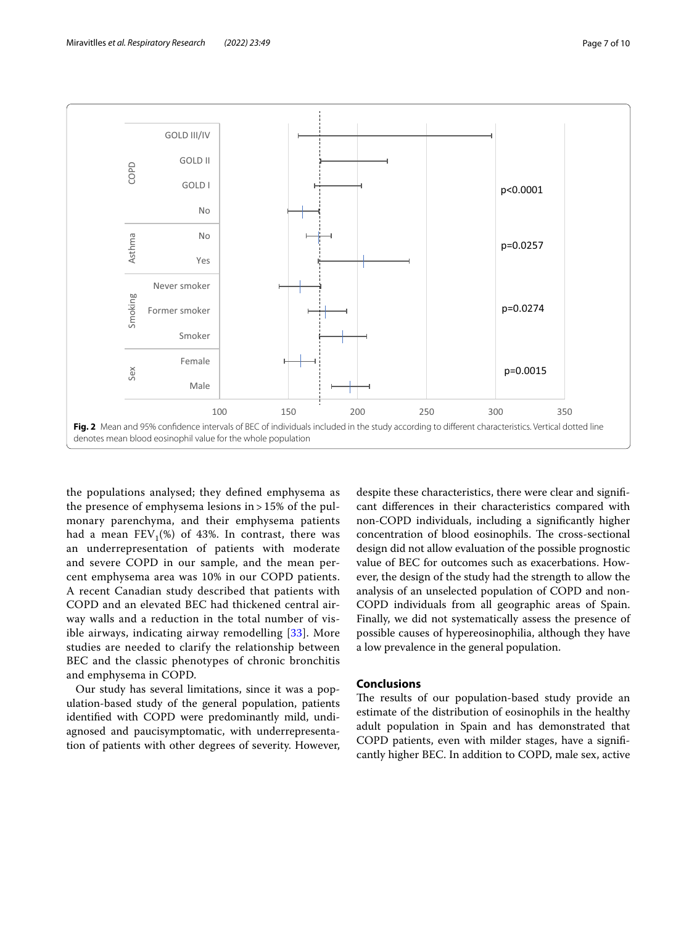

<span id="page-6-0"></span>the populations analysed; they defned emphysema as the presence of emphysema lesions in > 15% of the pulmonary parenchyma, and their emphysema patients had a mean  $FEV_1(\%)$  of 43%. In contrast, there was an underrepresentation of patients with moderate and severe COPD in our sample, and the mean percent emphysema area was 10% in our COPD patients. A recent Canadian study described that patients with COPD and an elevated BEC had thickened central airway walls and a reduction in the total number of visible airways, indicating airway remodelling [\[33\]](#page-9-18). More studies are needed to clarify the relationship between BEC and the classic phenotypes of chronic bronchitis and emphysema in COPD.

Our study has several limitations, since it was a population-based study of the general population, patients identifed with COPD were predominantly mild, undiagnosed and paucisymptomatic, with underrepresentation of patients with other degrees of severity. However,

despite these characteristics, there were clear and signifcant diferences in their characteristics compared with non-COPD individuals, including a signifcantly higher concentration of blood eosinophils. The cross-sectional design did not allow evaluation of the possible prognostic value of BEC for outcomes such as exacerbations. However, the design of the study had the strength to allow the analysis of an unselected population of COPD and non-COPD individuals from all geographic areas of Spain. Finally, we did not systematically assess the presence of possible causes of hypereosinophilia, although they have a low prevalence in the general population.

# **Conclusions**

The results of our population-based study provide an estimate of the distribution of eosinophils in the healthy adult population in Spain and has demonstrated that COPD patients, even with milder stages, have a signifcantly higher BEC. In addition to COPD, male sex, active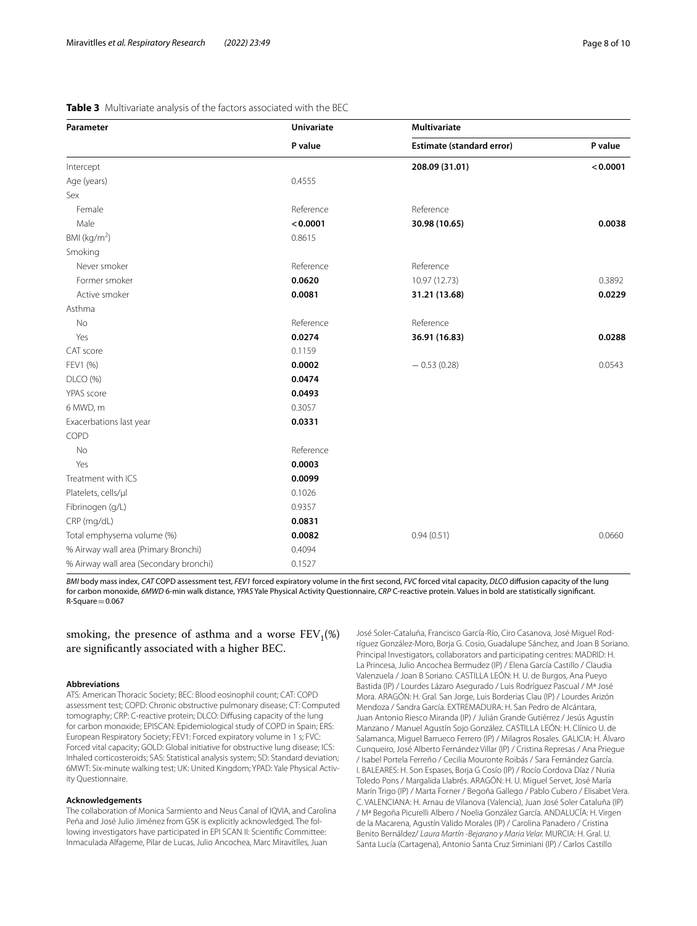<span id="page-7-0"></span>

| Parameter                              | <b>Univariate</b><br>P value | Multivariate              |          |  |
|----------------------------------------|------------------------------|---------------------------|----------|--|
|                                        |                              | Estimate (standard error) | P value  |  |
| Intercept                              |                              | 208.09 (31.01)            | < 0.0001 |  |
| Age (years)                            | 0.4555                       |                           |          |  |
| Sex                                    |                              |                           |          |  |
| Female                                 | Reference                    | Reference                 |          |  |
| Male                                   | < 0.0001                     | 30.98 (10.65)             | 0.0038   |  |
| BMI ( $kg/m2$ )                        | 0.8615                       |                           |          |  |
| Smoking                                |                              |                           |          |  |
| Never smoker                           | Reference                    | Reference                 |          |  |
| Former smoker                          | 0.0620                       | 10.97 (12.73)             | 0.3892   |  |
| Active smoker                          | 0.0081                       | 31.21 (13.68)             | 0.0229   |  |
| Asthma                                 |                              |                           |          |  |
| No                                     | Reference                    | Reference                 |          |  |
| Yes                                    | 0.0274                       | 36.91 (16.83)             | 0.0288   |  |
| CAT score                              | 0.1159                       |                           |          |  |
| FEV1 (%)                               | 0.0002                       | $-0.53(0.28)$             | 0.0543   |  |
| DLCO (%)                               | 0.0474                       |                           |          |  |
| YPAS score                             | 0.0493                       |                           |          |  |
| 6 MWD, m                               | 0.3057                       |                           |          |  |
| Exacerbations last year                | 0.0331                       |                           |          |  |
| COPD                                   |                              |                           |          |  |
| No                                     | Reference                    |                           |          |  |
| Yes                                    | 0.0003                       |                           |          |  |
| Treatment with ICS                     | 0.0099                       |                           |          |  |
| Platelets, cells/µl                    | 0.1026                       |                           |          |  |
| Fibrinogen (g/L)                       | 0.9357                       |                           |          |  |
| CRP (mg/dL)                            | 0.0831                       |                           |          |  |
| Total emphysema volume (%)             | 0.0082                       | 0.94(0.51)                | 0.0660   |  |
| % Airway wall area (Primary Bronchi)   | 0.4094                       |                           |          |  |
| % Airway wall area (Secondary bronchi) | 0.1527                       |                           |          |  |

*BMI* body mass index, *CAT* COPD assessment test, *FEV1* forced expiratory volume in the frst second, *FVC* forced vital capacity, *DLCO* difusion capacity of the lung for carbon monoxide, *6MWD* 6-min walk distance, *YPAS* Yale Physical Activity Questionnaire, *CRP* C-reactive protein. Values in bold are statistically signifcant.  $R-Square=0.067$ 

smoking, the presence of asthma and a worse  $FEV_1(\%)$ are signifcantly associated with a higher BEC.

#### **Abbreviations**

ATS: American Thoracic Society; BEC: Blood eosinophil count; CAT: COPD assessment test; COPD: Chronic obstructive pulmonary disease; CT: Computed tomography; CRP: C-reactive protein; DLCO: Difusing capacity of the lung for carbon monoxide; EPISCAN: Epidemiological study of COPD in Spain; ERS: European Respiratory Society; FEV1: Forced expiratory volume in 1 s; FVC: Forced vital capacity; GOLD: Global initiative for obstructive lung disease; ICS: Inhaled corticosteroids; SAS: Statistical analysis system; SD: Standard deviation; 6MWT: Six-minute walking test; UK: United Kingdom; YPAD: Yale Physical Activ‑ ity Questionnaire.

#### **Acknowledgements**

The collaboration of Monica Sarmiento and Neus Canal of IQVIA, and Carolina Peña and José Julio Jiménez from GSK is explicitly acknowledged. The following investigators have participated in EPI SCAN II: Scientifc Committee: Inmaculada Alfageme, Pilar de Lucas, Julio Ancochea, Marc Miravitlles, Juan

José Soler-Cataluña, Francisco García-Río, Ciro Casanova, José Miguel Rod‑ ríguez González-Moro, Borja G. Cosio, Guadalupe Sánchez, and Joan B Soriano. Principal Investigators, collaborators and participating centres: MADRID: H. La Princesa, Julio Ancochea Bermudez (IP) / Elena García Castillo / Claudia Valenzuela / Joan B Soriano. CASTILLA LEÓN: H. U. de Burgos, Ana Pueyo Bastida (IP) / Lourdes Lázaro Asegurado / Luis Rodríguez Pascual / Mª José Mora. ARAGÓN: H. Gral. San Jorge, Luis Borderias Clau (IP) / Lourdes Arizón Mendoza / Sandra García. EXTREMADURA: H. San Pedro de Alcántara, Juan Antonio Riesco Miranda (IP) / Julián Grande Gutiérrez / Jesús Agustín Manzano / Manuel Agustín Sojo González. CASTILLA LEÓN: H. Clínico U. de Salamanca, Miguel Barrueco Ferrero (IP) / Milagros Rosales. GALICIA: H. Álvaro Cunqueiro, José Alberto Fernández Villar (IP) / Cristina Represas / Ana Priegue / Isabel Portela Ferreño / Cecilia Mouronte Roibás / Sara Fernández García. I. BALEARES: H. Son Espases, Borja G Cosío (IP) / Rocío Cordova Díaz / Nuria Toledo Pons / Margalida Llabrés. ARAGÓN: H. U. Miguel Servet, José María Marín Trigo (IP) / Marta Forner / Begoña Gallego / Pablo Cubero / Elisabet Vera. C. VALENCIANA: H. Arnau de Vilanova (Valencia), Juan José Soler Cataluña (IP) / Mª Begoña Picurelli Albero / Noelia González García. ANDALUCÍA: H. Virgen de la Macarena, Agustín Valido Morales (IP) / Carolina Panadero / Cristina Benito Bernáldez/ *Laura Martín -Bejarano y Maria Velar.* MURCIA: H. Gral. U. Santa Lucía (Cartagena), Antonio Santa Cruz Siminiani (IP) / Carlos Castillo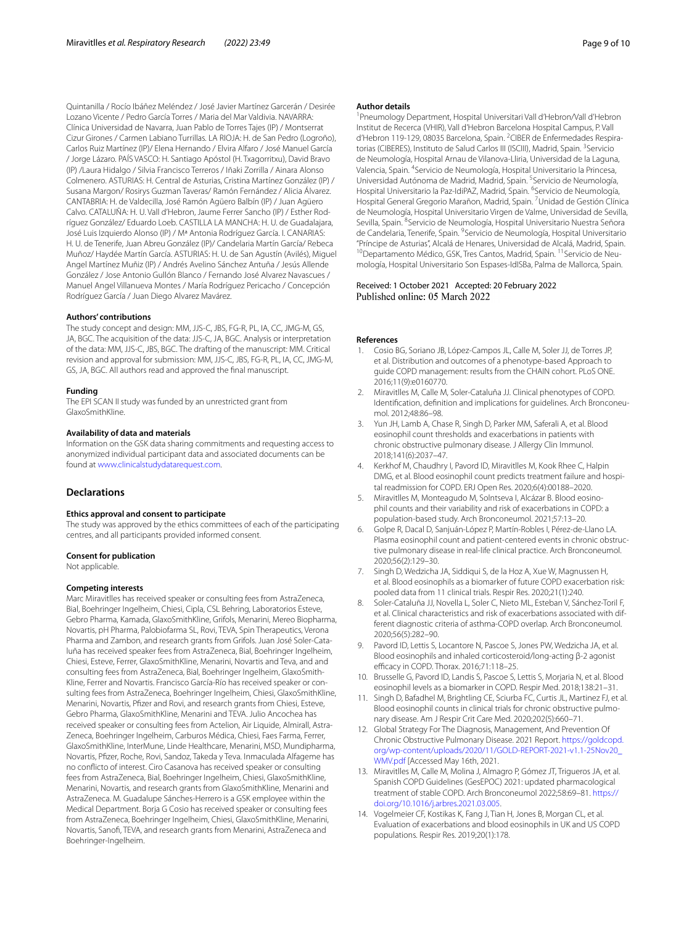Quintanilla / Rocío Ibáñez Meléndez / José Javier Martínez Garcerán / Desirée Lozano Vicente / Pedro García Torres / Maria del Mar Valdivia. NAVARRA: Clínica Universidad de Navarra, Juan Pablo de Torres Tajes (IP) / Montserrat Cizur Girones / Carmen Labiano Turrillas. LA RIOJA: H. de San Pedro (Logroño), Carlos Ruiz Martínez (IP)/ Elena Hernando / Elvira Alfaro / José Manuel García / Jorge Lázaro. PAÍS VASCO: H. Santiago Apóstol (H. Txagorritxu), David Bravo (IP) /Laura Hidalgo / Silvia Francisco Terreros / Iñaki Zorrilla / Ainara Alonso Colmenero. ASTURIAS: H. Central de Asturias, Cristina Martínez González (IP) / Susana Margon/ Rosirys Guzman Taveras/ Ramón Fernández / Alicia Álvarez. CANTABRIA: H. de Valdecilla, José Ramón Agüero Balbín (IP) / Juan Agüero Calvo. CATALUÑA: H. U. Vall d'Hebron, Jaume Ferrer Sancho (IP) / Esther Rodríguez González/ Eduardo Loeb. CASTILLA LA MANCHA: H. U. de Guadalajara, José Luis Izquierdo Alonso (IP) / Mª Antonia Rodríguez García. I. CANARIAS: H. U. de Tenerife, Juan Abreu González (IP)/ Candelaria Martín García/ Rebeca Muñoz/ Haydée Martín García. ASTURIAS: H. U. de San Agustín (Avilés), Miguel Angel Martínez Muñiz (IP) / Andrés Avelino Sánchez Antuña / Jesús Allende González / Jose Antonio Gullón Blanco / Fernando José Alvarez Navascues / Manuel Angel Villanueva Montes / María Rodríguez Pericacho / Concepción Rodríguez García / Juan Diego Alvarez Mavárez.

#### **Authors' contributions**

The study concept and design: MM, JJS-C, JBS, FG-R, PL, IA, CC, JMG-M, GS, JA, BGC. The acquisition of the data: JJS-C, JA, BGC. Analysis or interpretation of the data: MM, JJS-C, JBS, BGC. The drafting of the manuscript: MM. Critical revision and approval for submission: MM, JJS-C, JBS, FG-R, PL, IA, CC, JMG-M, GS, JA, BGC. All authors read and approved the fnal manuscript.

#### **Funding**

The EPI SCAN II study was funded by an unrestricted grant from GlaxoSmithKline.

### **Availability of data and materials**

Information on the GSK data sharing commitments and requesting access to anonymized individual participant data and associated documents can be found at [www.clinicalstudydatarequest.com](http://www.clinicalstudydatarequest.com).

#### **Declarations**

#### **Ethics approval and consent to participate**

The study was approved by the ethics committees of each of the participating centres, and all participants provided informed consent.

#### **Consent for publication**

Not applicable.

#### **Competing interests**

Marc Miravitlles has received speaker or consulting fees from AstraZeneca, Bial, Boehringer Ingelheim, Chiesi, Cipla, CSL Behring, Laboratorios Esteve, Gebro Pharma, Kamada, GlaxoSmithKline, Grifols, Menarini, Mereo Biopharma, Novartis, pH Pharma, Palobiofarma SL, Rovi, TEVA, Spin Therapeutics, Verona Pharma and Zambon, and research grants from Grifols. Juan José Soler-Cataluña has received speaker fees from AstraZeneca, Bial, Boehringer Ingelheim, Chiesi, Esteve, Ferrer, GlaxoSmithKline, Menarini, Novartis and Teva, and and consulting fees from AstraZeneca, Bial, Boehringer Ingelheim, GlaxoSmith-Kline, Ferrer and Novartis. Francisco García-Río has received speaker or consulting fees from AstraZeneca, Boehringer Ingelheim, Chiesi, GlaxoSmithKline, Menarini, Novartis, Pfzer and Rovi, and research grants from Chiesi, Esteve, Gebro Pharma, GlaxoSmithKline, Menarini and TEVA. Julio Ancochea has received speaker or consulting fees from Actelion, Air Liquide, Almirall, Astra-Zeneca, Boehringer Ingelheim, Carburos Médica, Chiesi, Faes Farma, Ferrer, GlaxoSmithKline, InterMune, Linde Healthcare, Menarini, MSD, Mundipharma, Novartis, Pfzer, Roche, Rovi, Sandoz, Takeda y Teva. Inmaculada Alfageme has no conficto of interest. Ciro Casanova has received speaker or consulting fees from AstraZeneca, Bial, Boehringer Ingelheim, Chiesi, GlaxoSmithKline, Menarini, Novartis, and research grants from GlaxoSmithKline, Menarini and AstraZeneca. M. Guadalupe Sánches-Herrero is a GSK employee within the Medical Department. Borja G Cosio has received speaker or consulting fees from AstraZeneca, Boehringer Ingelheim, Chiesi, GlaxoSmithKline, Menarini, Novartis, Sanof, TEVA, and research grants from Menarini, AstraZeneca and Boehringer-Ingelheim.

#### **Author details**

1 Pneumology Department, Hospital Universitari Vall d'Hebron/Vall d'Hebron Institut de Recerca (VHIR), Vall d'Hebron Barcelona Hospital Campus, P. Vall d'Hebron 119-129, 08035 Barcelona, Spain. <sup>2</sup>CIBER de Enfermedades Respiratorias (CIBERES), Instituto de Salud Carlos III (ISCIII), Madrid, Spain. <sup>3</sup> Servicio de Neumología, Hospital Arnau de Vilanova‑Lliria, Universidad de la Laguna, Valencia, Spain. <sup>4</sup> Servicio de Neumología, Hospital Universitario la Princesa, Universidad Autónoma de Madrid, Madrid, Spain. <sup>5</sup> Servicio de Neumología, Hospital Universitario la Paz-IdiPAZ, Madrid, Spain. <sup>6</sup>Servicio de Neumología, Hospital General Gregorio Marañon, Madrid, Spain. <sup>7</sup> Unidad de Gestión Clínica de Neumología, Hospital Universitario Virgen de Valme, Universidad de Sevilla, Sevilla, Spain. <sup>8</sup> Servicio de Neumología, Hospital Universitario Nuestra Señora de Candelaria, Tenerife, Spain. <sup>9</sup> Servicio de Neumología, Hospital Universitario "Príncipe de Asturias", Alcalá de Henares, Universidad de Alcalá, Madrid, Spain. <sup>10</sup>Departamento Médico, GSK, Tres Cantos, Madrid, Spain. <sup>11</sup> Servicio de Neumología, Hospital Universitario Son Espases-IdISBa, Palma de Mallorca, Spain.

#### Received: 1 October 2021 Accepted: 20 February 2022 Published online: 05 March 2022

#### **References**

- <span id="page-8-0"></span>1. Cosio BG, Soriano JB, López-Campos JL, Calle M, Soler JJ, de Torres JP, et al. Distribution and outcomes of a phenotype-based Approach to guide COPD management: results from the CHAIN cohort. PLoS ONE. 2016;11(9):e0160770.
- <span id="page-8-1"></span>2. Miravitlles M, Calle M, Soler-Cataluña JJ. Clinical phenotypes of COPD. Identification, definition and implications for guidelines. Arch Bronconeumol. 2012;48:86–98.
- <span id="page-8-2"></span>3. Yun JH, Lamb A, Chase R, Singh D, Parker MM, Saferali A, et al. Blood eosinophil count thresholds and exacerbations in patients with chronic obstructive pulmonary disease. J Allergy Clin Immunol. 2018;141(6):2037–47.
- 4. Kerkhof M, Chaudhry I, Pavord ID, Miravitlles M, Kook Rhee C, Halpin DMG, et al. Blood eosinophil count predicts treatment failure and hospital readmission for COPD. ERJ Open Res. 2020;6(4):00188–2020.
- <span id="page-8-9"></span>5. Miravitlles M, Monteagudo M, Solntseva I, Alcázar B. Blood eosinophil counts and their variability and risk of exacerbations in COPD: a population-based study. Arch Bronconeumol. 2021;57:13–20.
- 6. Golpe R, Dacal D, Sanjuán-López P, Martín-Robles I, Pérez-de-Llano LA. Plasma eosinophil count and patient-centered events in chronic obstructive pulmonary disease in real-life clinical practice. Arch Bronconeumol. 2020;56(2):129–30.
- 7. Singh D, Wedzicha JA, Siddiqui S, de la Hoz A, Xue W, Magnussen H, et al. Blood eosinophils as a biomarker of future COPD exacerbation risk: pooled data from 11 clinical trials. Respir Res. 2020;21(1):240.
- <span id="page-8-3"></span>8. Soler-Cataluña JJ, Novella L, Soler C, Nieto ML, Esteban V, Sánchez-Toril F, et al. Clinical characteristics and risk of exacerbations associated with different diagnostic criteria of asthma-COPD overlap. Arch Bronconeumol. 2020;56(5):282–90.
- <span id="page-8-4"></span>9. Pavord ID, Lettis S, Locantore N, Pascoe S, Jones PW, Wedzicha JA, et al. Blood eosinophils and inhaled corticosteroid/long-acting β-2 agonist efficacy in COPD. Thorax. 2016;71:118-25.
- 10. Brusselle G, Pavord ID, Landis S, Pascoe S, Lettis S, Morjaria N, et al. Blood eosinophil levels as a biomarker in COPD. Respir Med. 2018;138:21–31.
- <span id="page-8-5"></span>11. Singh D, Bafadhel M, Brightling CE, Sciurba FC, Curtis JL, Martinez FJ, et al. Blood eosinophil counts in clinical trials for chronic obstructive pulmonary disease. Am J Respir Crit Care Med. 2020;202(5):660–71.
- <span id="page-8-6"></span>12. Global Strategy For The Diagnosis, Management, And Prevention Of Chronic Obstructive Pulmonary Disease. 2021 Report. [https://goldcopd.](https://goldcopd.org/wp-content/uploads/2020/11/GOLD-REPORT-2021-v1.1-25Nov20_WMV.pdf) [org/wp-content/uploads/2020/11/GOLD-REPORT-2021-v1.1-25Nov20\\_](https://goldcopd.org/wp-content/uploads/2020/11/GOLD-REPORT-2021-v1.1-25Nov20_WMV.pdf) [WMV.pdf](https://goldcopd.org/wp-content/uploads/2020/11/GOLD-REPORT-2021-v1.1-25Nov20_WMV.pdf) [Accessed May 16th, 2021.
- <span id="page-8-7"></span>13. Miravitlles M, Calle M, Molina J, Almagro P, Gómez JT, Trigueros JA, et al. Spanish COPD Guidelines (GesEPOC) 2021: updated pharmacological treatment of stable COPD. Arch Bronconeumol 2022;58:69–81. [https://](https://doi.org/10.1016/j.arbres.2021.03.005) [doi.org/10.1016/j.arbres.2021.03.005](https://doi.org/10.1016/j.arbres.2021.03.005).
- <span id="page-8-8"></span>14. Vogelmeier CF, Kostikas K, Fang J, Tian H, Jones B, Morgan CL, et al. Evaluation of exacerbations and blood eosinophils in UK and US COPD populations. Respir Res. 2019;20(1):178.